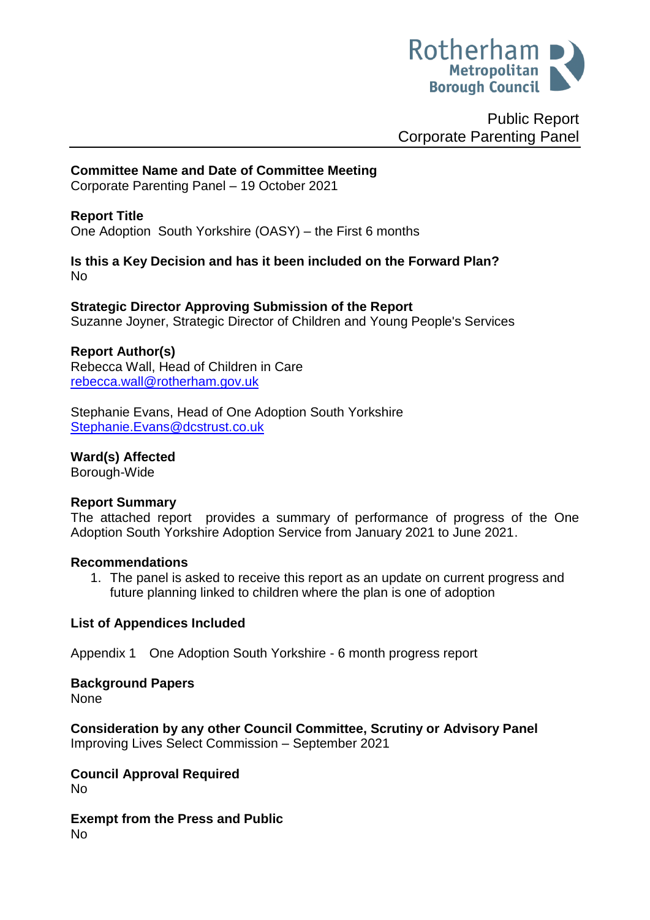

Public Report Corporate Parenting Panel

# **Committee Name and Date of Committee Meeting**

Corporate Parenting Panel – 19 October 2021

### **Report Title**

One Adoption South Yorkshire (OASY) – the First 6 months

**Is this a Key Decision and has it been included on the Forward Plan?**  No

**Strategic Director Approving Submission of the Report**

Suzanne Joyner, Strategic Director of Children and Young People's Services

#### **Report Author(s)**

Rebecca Wall, Head of Children in Care [rebecca.wall@rotherham.gov.uk](mailto:rebecca.wall@rotherham.gov.uk)

Stephanie Evans, Head of One Adoption South Yorkshire [Stephanie.Evans@dcstrust.co.uk](mailto:Stephanie.Evans@dcstrust.co.uk)

**Ward(s) Affected**

Borough-Wide

### **Report Summary**

The attached report provides a summary of performance of progress of the One Adoption South Yorkshire Adoption Service from January 2021 to June 2021.

#### **Recommendations**

1. The panel is asked to receive this report as an update on current progress and future planning linked to children where the plan is one of adoption

### **List of Appendices Included**

Appendix 1 One Adoption South Yorkshire - 6 month progress report

**Background Papers** None

**Consideration by any other Council Committee, Scrutiny or Advisory Panel** Improving Lives Select Commission – September 2021

**Council Approval Required** No

**Exempt from the Press and Public** No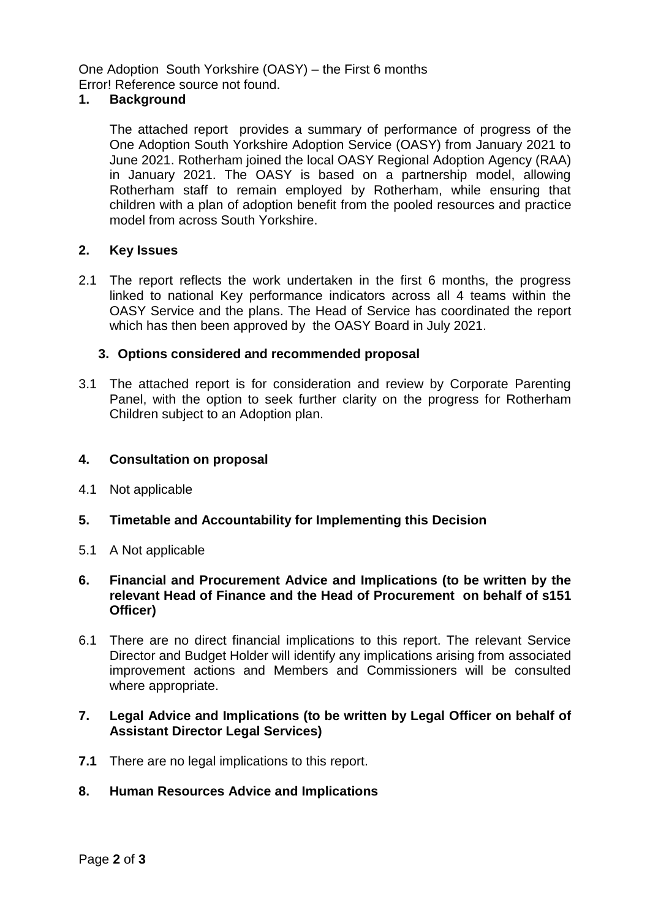One Adoption South Yorkshire (OASY) – the First 6 months Error! Reference source not found.

### **1. Background**

The attached report provides a summary of performance of progress of the One Adoption South Yorkshire Adoption Service (OASY) from January 2021 to June 2021. Rotherham joined the local OASY Regional Adoption Agency (RAA) in January 2021. The OASY is based on a partnership model, allowing Rotherham staff to remain employed by Rotherham, while ensuring that children with a plan of adoption benefit from the pooled resources and practice model from across South Yorkshire.

## **2. Key Issues**

2.1 The report reflects the work undertaken in the first 6 months, the progress linked to national Key performance indicators across all 4 teams within the OASY Service and the plans. The Head of Service has coordinated the report which has then been approved by the OASY Board in July 2021.

### **3. Options considered and recommended proposal**

3.1 The attached report is for consideration and review by Corporate Parenting Panel, with the option to seek further clarity on the progress for Rotherham Children subject to an Adoption plan.

### **4. Consultation on proposal**

- 4.1 Not applicable
- **5. Timetable and Accountability for Implementing this Decision**
- 5.1 A Not applicable
- **6. Financial and Procurement Advice and Implications (to be written by the relevant Head of Finance and the Head of Procurement on behalf of s151 Officer)**
- 6.1 There are no direct financial implications to this report. The relevant Service Director and Budget Holder will identify any implications arising from associated improvement actions and Members and Commissioners will be consulted where appropriate.

### **7. Legal Advice and Implications (to be written by Legal Officer on behalf of Assistant Director Legal Services)**

- **7.1** There are no legal implications to this report.
- **8. Human Resources Advice and Implications**